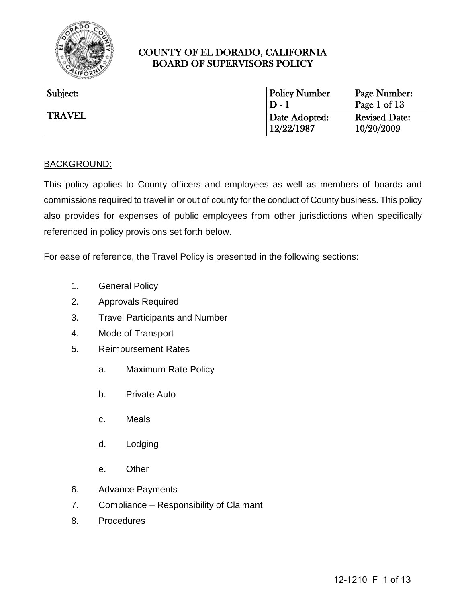

| Subject:      | <b>Policy Number</b>                 | Page Number:                                       |
|---------------|--------------------------------------|----------------------------------------------------|
| <b>TRAVEL</b> | $D-1$<br>Date Adopted:<br>12/22/1987 | Page 1 of 13<br><b>Revised Date:</b><br>10/20/2009 |

#### BACKGROUND:

This policy applies to County officers and employees as well as members of boards and commissions required to travel in or out of county for the conduct of County business. This policy also provides for expenses of public employees from other jurisdictions when specifically referenced in policy provisions set forth below.

For ease of reference, the Travel Policy is presented in the following sections:

- 1. General Policy
- 2. Approvals Required
- 3. Travel Participants and Number
- 4. Mode of Transport
- 5. Reimbursement Rates
	- a. Maximum Rate Policy
	- b. Private Auto
	- c. Meals
	- d. Lodging
	- e. Other
- 6. Advance Payments
- 7. Compliance Responsibility of Claimant
- 8. Procedures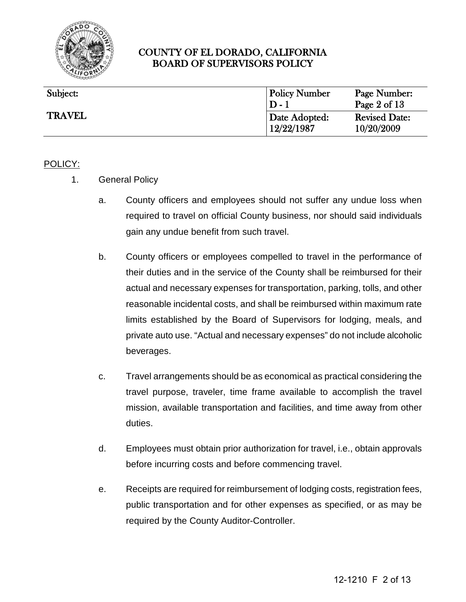

| Subject:      | <b>Policy Number</b><br>$D-1$ | Page Number:<br>Page $2$ of $13$   |
|---------------|-------------------------------|------------------------------------|
| <b>TRAVEL</b> | Date Adopted:<br>12/22/1987   | <b>Revised Date:</b><br>10/20/2009 |

#### POLICY:

- 1. General Policy
	- a. County officers and employees should not suffer any undue loss when required to travel on official County business, nor should said individuals gain any undue benefit from such travel.
	- b. County officers or employees compelled to travel in the performance of their duties and in the service of the County shall be reimbursed for their actual and necessary expenses for transportation, parking, tolls, and other reasonable incidental costs, and shall be reimbursed within maximum rate limits established by the Board of Supervisors for lodging, meals, and private auto use. "Actual and necessary expenses" do not include alcoholic beverages.
	- c. Travel arrangements should be as economical as practical considering the travel purpose, traveler, time frame available to accomplish the travel mission, available transportation and facilities, and time away from other duties.
	- d. Employees must obtain prior authorization for travel, i.e., obtain approvals before incurring costs and before commencing travel.
	- e. Receipts are required for reimbursement of lodging costs, registration fees, public transportation and for other expenses as specified, or as may be required by the County Auditor-Controller.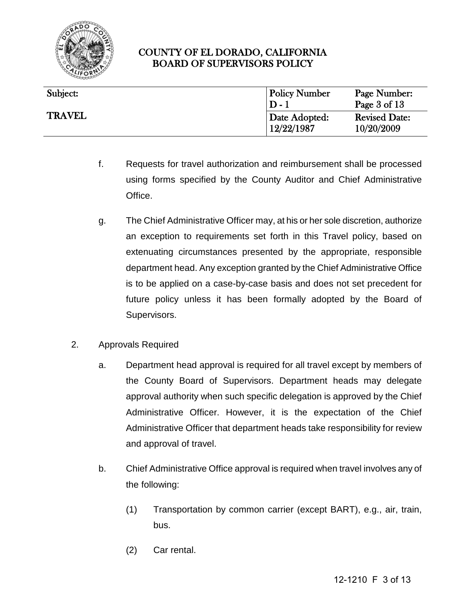

| Subject:      | <b>Policy Number</b><br>$D-1$ | Page Number:<br>Page 3 of 13       |
|---------------|-------------------------------|------------------------------------|
| <b>TRAVEL</b> | Date Adopted:<br>12/22/1987   | <b>Revised Date:</b><br>10/20/2009 |

- f. Requests for travel authorization and reimbursement shall be processed using forms specified by the County Auditor and Chief Administrative Office.
- g. The Chief Administrative Officer may, at his or her sole discretion, authorize an exception to requirements set forth in this Travel policy, based on extenuating circumstances presented by the appropriate, responsible department head. Any exception granted by the Chief Administrative Office is to be applied on a case-by-case basis and does not set precedent for future policy unless it has been formally adopted by the Board of Supervisors.
- 2. Approvals Required
	- a. Department head approval is required for all travel except by members of the County Board of Supervisors. Department heads may delegate approval authority when such specific delegation is approved by the Chief Administrative Officer. However, it is the expectation of the Chief Administrative Officer that department heads take responsibility for review and approval of travel.
	- b. Chief Administrative Office approval is required when travel involves any of the following:
		- (1) Transportation by common carrier (except BART), e.g., air, train, bus.
		- (2) Car rental.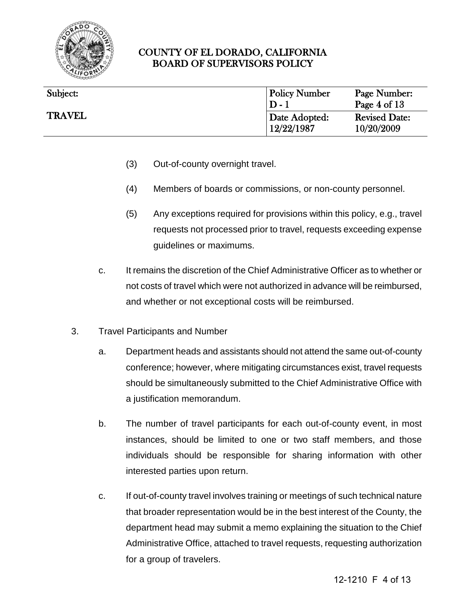

| Subject:      | <b>Policy Number</b><br>$D-1$ | Page Number:<br>Page $4$ of $13$   |
|---------------|-------------------------------|------------------------------------|
| <b>TRAVEL</b> | Date Adopted:<br>12/22/1987   | <b>Revised Date:</b><br>10/20/2009 |

- (3) Out-of-county overnight travel.
- (4) Members of boards or commissions, or non-county personnel.
- (5) Any exceptions required for provisions within this policy, e.g., travel requests not processed prior to travel, requests exceeding expense guidelines or maximums.
- c. It remains the discretion of the Chief Administrative Officer as to whether or not costs of travel which were not authorized in advance will be reimbursed, and whether or not exceptional costs will be reimbursed.
- 3. Travel Participants and Number
	- a. Department heads and assistants should not attend the same out-of-county conference; however, where mitigating circumstances exist, travel requests should be simultaneously submitted to the Chief Administrative Office with a justification memorandum.
	- b. The number of travel participants for each out-of-county event, in most instances, should be limited to one or two staff members, and those individuals should be responsible for sharing information with other interested parties upon return.
	- c. If out-of-county travel involves training or meetings of such technical nature that broader representation would be in the best interest of the County, the department head may submit a memo explaining the situation to the Chief Administrative Office, attached to travel requests, requesting authorization for a group of travelers.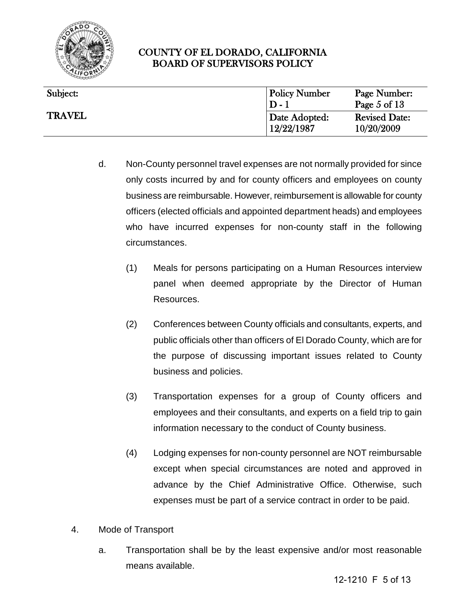

| Subject:      | <b>Policy Number</b>        | Page Number:                       |
|---------------|-----------------------------|------------------------------------|
|               | $D-1$                       | Page 5 of $13$                     |
| <b>TRAVEL</b> | Date Adopted:<br>12/22/1987 | <b>Revised Date:</b><br>10/20/2009 |

- d. Non-County personnel travel expenses are not normally provided for since only costs incurred by and for county officers and employees on county business are reimbursable. However, reimbursement is allowable for county officers (elected officials and appointed department heads) and employees who have incurred expenses for non-county staff in the following circumstances.
	- (1) Meals for persons participating on a Human Resources interview panel when deemed appropriate by the Director of Human Resources.
	- (2) Conferences between County officials and consultants, experts, and public officials other than officers of El Dorado County, which are for the purpose of discussing important issues related to County business and policies.
	- (3) Transportation expenses for a group of County officers and employees and their consultants, and experts on a field trip to gain information necessary to the conduct of County business.
	- (4) Lodging expenses for non-county personnel are NOT reimbursable except when special circumstances are noted and approved in advance by the Chief Administrative Office. Otherwise, such expenses must be part of a service contract in order to be paid.
- 4. Mode of Transport
	- a. Transportation shall be by the least expensive and/or most reasonable means available.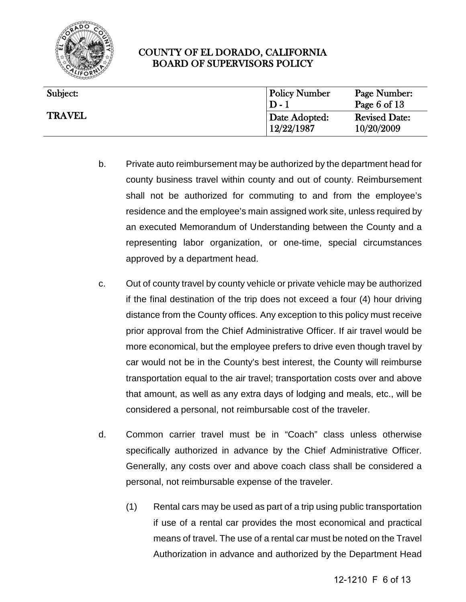

| Subject:      | <b>Policy Number</b><br>$D-1$ | Page Number:<br>Page 6 of $13$     |
|---------------|-------------------------------|------------------------------------|
| <b>TRAVEL</b> | Date Adopted:<br>12/22/1987   | <b>Revised Date:</b><br>10/20/2009 |

- b. Private auto reimbursement may be authorized by the department head for county business travel within county and out of county. Reimbursement shall not be authorized for commuting to and from the employee's residence and the employee's main assigned work site, unless required by an executed Memorandum of Understanding between the County and a representing labor organization, or one-time, special circumstances approved by a department head.
- c. Out of county travel by county vehicle or private vehicle may be authorized if the final destination of the trip does not exceed a four (4) hour driving distance from the County offices. Any exception to this policy must receive prior approval from the Chief Administrative Officer. If air travel would be more economical, but the employee prefers to drive even though travel by car would not be in the County's best interest, the County will reimburse transportation equal to the air travel; transportation costs over and above that amount, as well as any extra days of lodging and meals, etc., will be considered a personal, not reimbursable cost of the traveler.
- d. Common carrier travel must be in "Coach" class unless otherwise specifically authorized in advance by the Chief Administrative Officer. Generally, any costs over and above coach class shall be considered a personal, not reimbursable expense of the traveler.
	- (1) Rental cars may be used as part of a trip using public transportation if use of a rental car provides the most economical and practical means of travel. The use of a rental car must be noted on the Travel Authorization in advance and authorized by the Department Head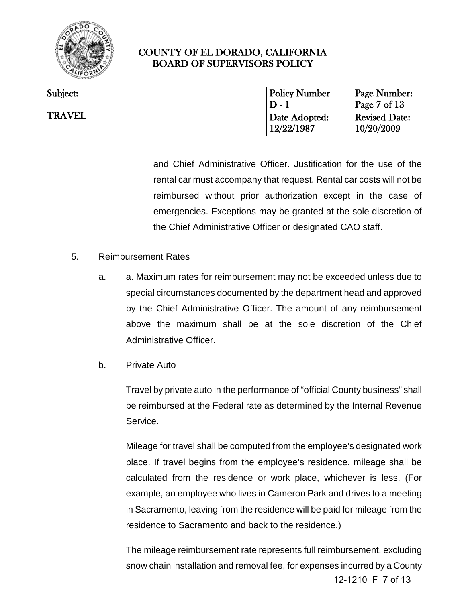

| Subject:      | <b>Policy Number</b><br>$D-1$ | Page Number:<br>Page $7 \text{ of } 13$ |
|---------------|-------------------------------|-----------------------------------------|
| <b>TRAVEL</b> | Date Adopted:<br>12/22/1987   | <b>Revised Date:</b><br>10/20/2009      |

and Chief Administrative Officer. Justification for the use of the rental car must accompany that request. Rental car costs will not be reimbursed without prior authorization except in the case of emergencies. Exceptions may be granted at the sole discretion of the Chief Administrative Officer or designated CAO staff.

- 5. Reimbursement Rates
	- a. a. Maximum rates for reimbursement may not be exceeded unless due to special circumstances documented by the department head and approved by the Chief Administrative Officer. The amount of any reimbursement above the maximum shall be at the sole discretion of the Chief Administrative Officer.
	- b. Private Auto

Travel by private auto in the performance of "official County business" shall be reimbursed at the Federal rate as determined by the Internal Revenue Service.

Mileage for travel shall be computed from the employee's designated work place. If travel begins from the employee's residence, mileage shall be calculated from the residence or work place, whichever is less. (For example, an employee who lives in Cameron Park and drives to a meeting in Sacramento, leaving from the residence will be paid for mileage from the residence to Sacramento and back to the residence.)

The mileage reimbursement rate represents full reimbursement, excluding snow chain installation and removal fee, for expenses incurred by a County 12-1210 F 7 of 13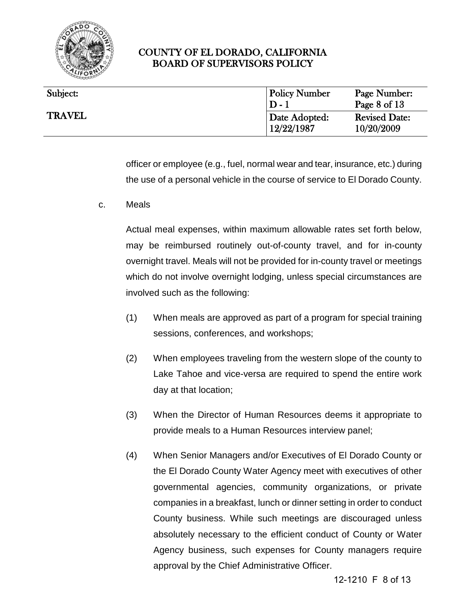

| Subject:      | <b>Policy Number</b><br>$D-1$ | Page Number:<br>Page $8$ of $13$   |
|---------------|-------------------------------|------------------------------------|
| <b>TRAVEL</b> | Date Adopted:<br>12/22/1987   | <b>Revised Date:</b><br>10/20/2009 |

officer or employee (e.g., fuel, normal wear and tear, insurance, etc.) during the use of a personal vehicle in the course of service to El Dorado County.

c. Meals

Actual meal expenses, within maximum allowable rates set forth below, may be reimbursed routinely out-of-county travel, and for in-county overnight travel. Meals will not be provided for in-county travel or meetings which do not involve overnight lodging, unless special circumstances are involved such as the following:

- (1) When meals are approved as part of a program for special training sessions, conferences, and workshops;
- (2) When employees traveling from the western slope of the county to Lake Tahoe and vice-versa are required to spend the entire work day at that location;
- (3) When the Director of Human Resources deems it appropriate to provide meals to a Human Resources interview panel;
- (4) When Senior Managers and/or Executives of El Dorado County or the El Dorado County Water Agency meet with executives of other governmental agencies, community organizations, or private companies in a breakfast, lunch or dinner setting in order to conduct County business. While such meetings are discouraged unless absolutely necessary to the efficient conduct of County or Water Agency business, such expenses for County managers require approval by the Chief Administrative Officer.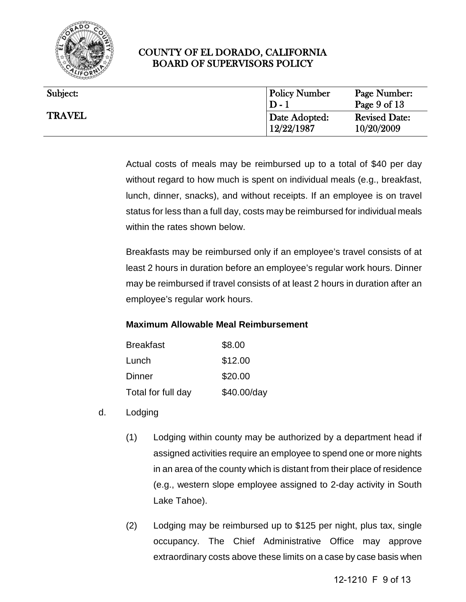

| Subject:      | <b>Policy Number</b><br>$D-1$ | Page Number:<br>Page $9$ of $13$   |
|---------------|-------------------------------|------------------------------------|
| <b>TRAVEL</b> | Date Adopted:<br>12/22/1987   | <b>Revised Date:</b><br>10/20/2009 |

Actual costs of meals may be reimbursed up to a total of \$40 per day without regard to how much is spent on individual meals (e.g., breakfast, lunch, dinner, snacks), and without receipts. If an employee is on travel status for less than a full day, costs may be reimbursed for individual meals within the rates shown below.

Breakfasts may be reimbursed only if an employee's travel consists of at least 2 hours in duration before an employee's regular work hours. Dinner may be reimbursed if travel consists of at least 2 hours in duration after an employee's regular work hours.

#### **Maximum Allowable Meal Reimbursement**

| <b>Breakfast</b>   | \$8.00      |
|--------------------|-------------|
| Lunch              | \$12.00     |
| Dinner             | \$20.00     |
| Total for full day | \$40.00/day |

- d. Lodging
	- (1) Lodging within county may be authorized by a department head if assigned activities require an employee to spend one or more nights in an area of the county which is distant from their place of residence (e.g., western slope employee assigned to 2-day activity in South Lake Tahoe).
	- (2) Lodging may be reimbursed up to \$125 per night, plus tax, single occupancy. The Chief Administrative Office may approve extraordinary costs above these limits on a case by case basis when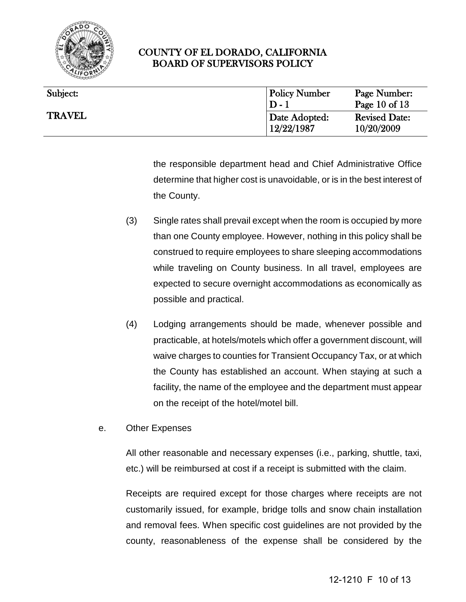

| Subject:      | <b>Policy Number</b>        | Page Number:                       |
|---------------|-----------------------------|------------------------------------|
|               | $D-1$                       | Page 10 of $13$                    |
| <b>TRAVEL</b> | Date Adopted:<br>12/22/1987 | <b>Revised Date:</b><br>10/20/2009 |

the responsible department head and Chief Administrative Office determine that higher cost is unavoidable, or is in the best interest of the County.

- (3) Single rates shall prevail except when the room is occupied by more than one County employee. However, nothing in this policy shall be construed to require employees to share sleeping accommodations while traveling on County business. In all travel, employees are expected to secure overnight accommodations as economically as possible and practical.
- (4) Lodging arrangements should be made, whenever possible and practicable, at hotels/motels which offer a government discount, will waive charges to counties for Transient Occupancy Tax, or at which the County has established an account. When staying at such a facility, the name of the employee and the department must appear on the receipt of the hotel/motel bill.
- e. Other Expenses

All other reasonable and necessary expenses (i.e., parking, shuttle, taxi, etc.) will be reimbursed at cost if a receipt is submitted with the claim.

Receipts are required except for those charges where receipts are not customarily issued, for example, bridge tolls and snow chain installation and removal fees. When specific cost guidelines are not provided by the county, reasonableness of the expense shall be considered by the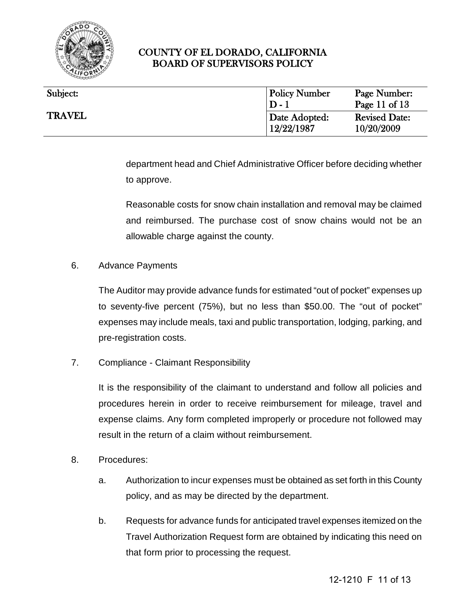

| Subject:      | <b>Policy Number</b>        | Page Number:                       |
|---------------|-----------------------------|------------------------------------|
|               | $D-1$                       | Page 11 of $13$                    |
| <b>TRAVEL</b> | Date Adopted:<br>12/22/1987 | <b>Revised Date:</b><br>10/20/2009 |

department head and Chief Administrative Officer before deciding whether to approve.

Reasonable costs for snow chain installation and removal may be claimed and reimbursed. The purchase cost of snow chains would not be an allowable charge against the county.

6. Advance Payments

The Auditor may provide advance funds for estimated "out of pocket" expenses up to seventy-five percent (75%), but no less than \$50.00. The "out of pocket" expenses may include meals, taxi and public transportation, lodging, parking, and pre-registration costs.

7. Compliance - Claimant Responsibility

It is the responsibility of the claimant to understand and follow all policies and procedures herein in order to receive reimbursement for mileage, travel and expense claims. Any form completed improperly or procedure not followed may result in the return of a claim without reimbursement.

- 8. Procedures:
	- a. Authorization to incur expenses must be obtained as set forth in this County policy, and as may be directed by the department.
	- b. Requests for advance funds for anticipated travel expenses itemized on the Travel Authorization Request form are obtained by indicating this need on that form prior to processing the request.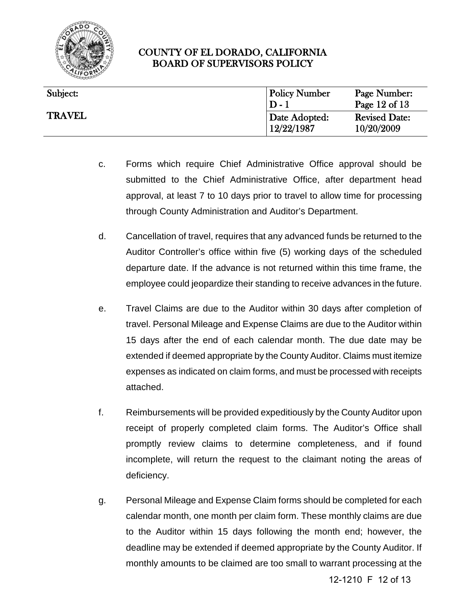

| Subject:      | <b>Policy Number</b><br>$D-1$ | Page Number:<br>Page 12 of $13$    |
|---------------|-------------------------------|------------------------------------|
| <b>TRAVEL</b> | Date Adopted:<br>12/22/1987   | <b>Revised Date:</b><br>10/20/2009 |

- c. Forms which require Chief Administrative Office approval should be submitted to the Chief Administrative Office, after department head approval, at least 7 to 10 days prior to travel to allow time for processing through County Administration and Auditor's Department.
- d. Cancellation of travel, requires that any advanced funds be returned to the Auditor Controller's office within five (5) working days of the scheduled departure date. If the advance is not returned within this time frame, the employee could jeopardize their standing to receive advances in the future.
- e. Travel Claims are due to the Auditor within 30 days after completion of travel. Personal Mileage and Expense Claims are due to the Auditor within 15 days after the end of each calendar month. The due date may be extended if deemed appropriate by the County Auditor. Claims must itemize expenses as indicated on claim forms, and must be processed with receipts attached.
- f. Reimbursements will be provided expeditiously by the County Auditor upon receipt of properly completed claim forms. The Auditor's Office shall promptly review claims to determine completeness, and if found incomplete, will return the request to the claimant noting the areas of deficiency.
- g. Personal Mileage and Expense Claim forms should be completed for each calendar month, one month per claim form. These monthly claims are due to the Auditor within 15 days following the month end; however, the deadline may be extended if deemed appropriate by the County Auditor. If monthly amounts to be claimed are too small to warrant processing at the

12-1210 F 12 of 13